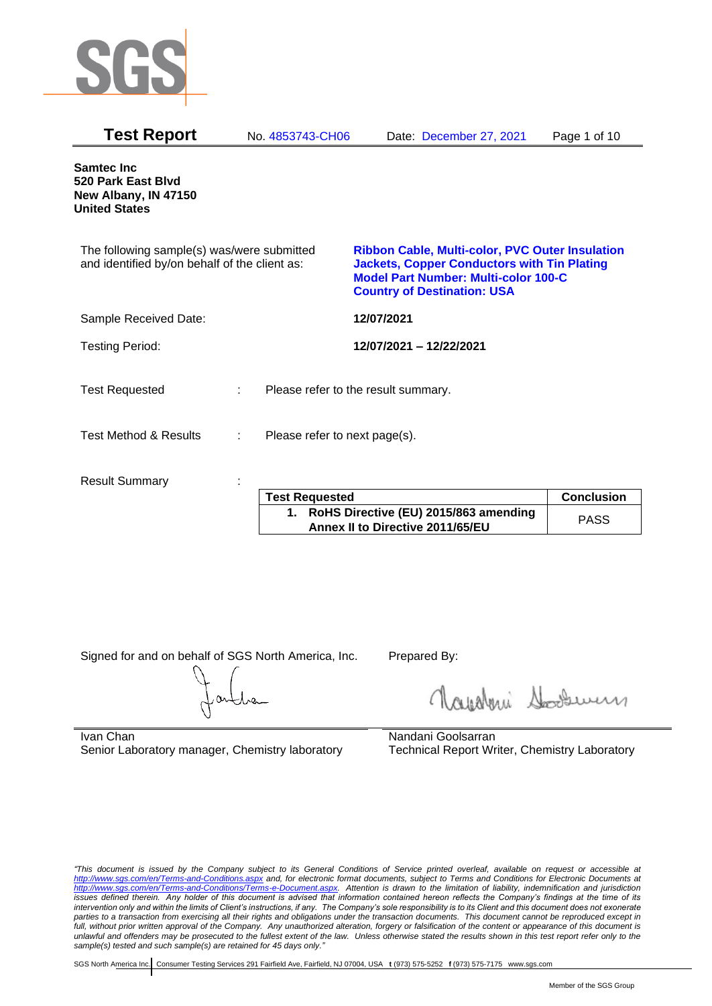

| <b>Test Report</b>                                                                          | No. 4853743-CH06              | Date: December 27, 2021                                                                                                                                                                           | Page 1 of 10 |
|---------------------------------------------------------------------------------------------|-------------------------------|---------------------------------------------------------------------------------------------------------------------------------------------------------------------------------------------------|--------------|
| Samtec Inc<br>520 Park East Blvd<br>New Albany, IN 47150<br><b>United States</b>            |                               |                                                                                                                                                                                                   |              |
| The following sample(s) was/were submitted<br>and identified by/on behalf of the client as: |                               | <b>Ribbon Cable, Multi-color, PVC Outer Insulation</b><br><b>Jackets, Copper Conductors with Tin Plating</b><br><b>Model Part Number: Multi-color 100-C</b><br><b>Country of Destination: USA</b> |              |
| Sample Received Date:                                                                       |                               | 12/07/2021                                                                                                                                                                                        |              |
| <b>Testing Period:</b>                                                                      |                               | 12/07/2021 - 12/22/2021                                                                                                                                                                           |              |
| <b>Test Requested</b>                                                                       |                               | Please refer to the result summary.                                                                                                                                                               |              |
| <b>Test Method &amp; Results</b><br>÷                                                       | Please refer to next page(s). |                                                                                                                                                                                                   |              |
| <b>Result Summary</b>                                                                       |                               |                                                                                                                                                                                                   |              |

| <b>Test Requested</b>                                                        | <b>Conclusion</b> |
|------------------------------------------------------------------------------|-------------------|
| 1. RoHS Directive (EU) 2015/863 amending<br>Annex II to Directive 2011/65/EU | <b>PASS</b>       |

Signed for and on behalf of SGS North America, Inc. Prepared By:

Glisburi Soodwer

Ivan Chan Senior Laboratory manager, Chemistry laboratory Nandani Goolsarran Technical Report Writer, Chemistry Laboratory

*"This document is issued by the Company subject to its General Conditions of Service printed overleaf, available on request or accessible at <http://www.sgs.com/en/Terms-and-Conditions.aspx> and, for electronic format documents, subject to Terms and Conditions for Electronic Documents at [http://www.sgs.com/en/Terms-and-Conditions/Terms-e-Document.aspx.](http://www.sgs.com/en/Terms-and-Conditions/Terms-e-Document.aspx) Attention is drawn to the limitation of liability, indemnification and jurisdiction issues defined therein. Any holder of this document is advised that information contained hereon reflects the Company's findings at the time of its intervention only and within the limits of Client's instructions, if any. The Company's sole responsibility is to its Client and this document does not exonerate parties to a transaction from exercising all their rights and obligations under the transaction documents. This document cannot be reproduced except in full, without prior written approval of the Company. Any unauthorized alteration, forgery or falsification of the content or appearance of this document is unlawful and offenders may be prosecuted to the fullest extent of the law. Unless otherwise stated the results shown in this test report refer only to the sample(s) tested and such sample(s) are retained for 45 days only."*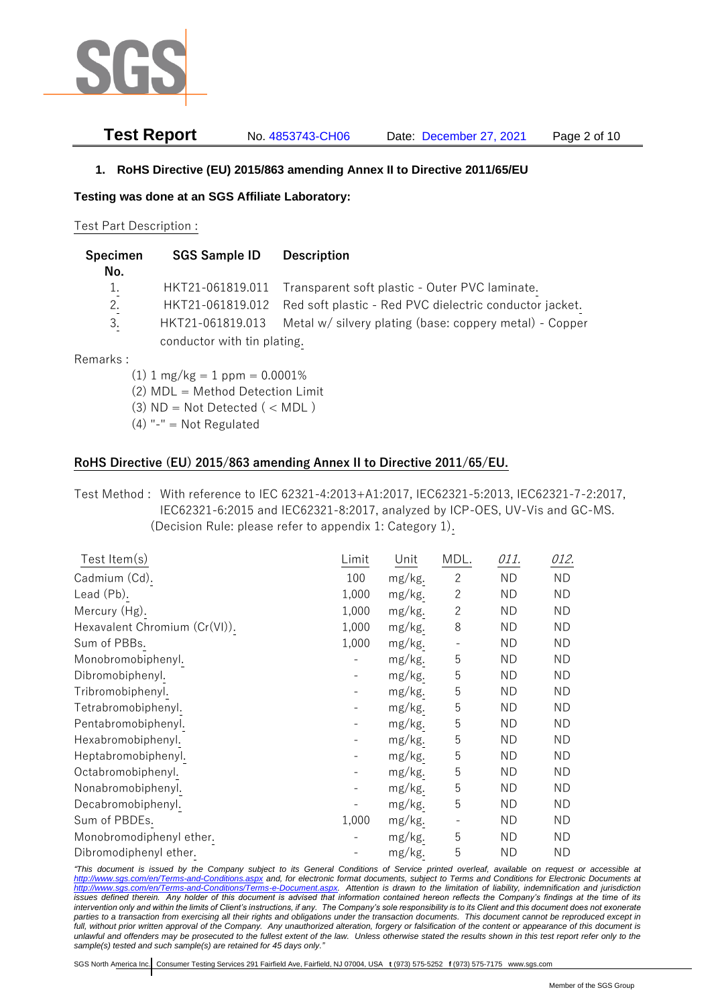

# **Test Report** No. 4853743-CH06 Date: December 27, 2021 Page 2 of 10

### **1. RoHS Directive (EU) 2015/863 amending Annex II to Directive 2011/65/EU**

**Testing was done at an SGS Affiliate Laboratory:**

#### Test Part Description :

| Specimen | <b>SGS Sample ID</b>        | <b>Description</b>                                                       |
|----------|-----------------------------|--------------------------------------------------------------------------|
| No.      |                             |                                                                          |
| 1.       |                             | HKT21-061819.011 Transparent soft plastic - Outer PVC laminate.          |
| 2.       |                             | HKT21-061819.012 Red soft plastic - Red PVC dielectric conductor jacket. |
| 3.       | HKT21-061819.013            | Metal w/ silvery plating (base: coppery metal) - Copper                  |
|          | conductor with tin plating. |                                                                          |

Remarks :

- $(1)$  1 mg/kg = 1 ppm = 0.0001%
- (2) MDL = Method Detection Limit
- $(3)$  ND = Not Detected  $($  < MDL)
- $(4)$  "-" = Not Regulated

## **RoHS Directive (EU) 2015/863 amending Annex II to Directive 2011/65/EU.**

# Test Method : With reference to IEC 62321-4:2013+A1:2017, IEC62321-5:2013, IEC62321-7-2:2017, IEC62321-6:2015 and IEC62321-8:2017, analyzed by ICP-OES, UV-Vis and GC-MS. (Decision Rule: please refer to appendix 1: Category 1).

| Test Item $(s)$               | Limit | Unit   | MDL.           | 011.      | 012.      |
|-------------------------------|-------|--------|----------------|-----------|-----------|
| Cadmium (Cd).                 | 100   | mg/kg. | $\overline{2}$ | ND        | ND.       |
| Lead (Pb).                    | 1,000 | mg/kg. | $\overline{2}$ | <b>ND</b> | <b>ND</b> |
| Mercury (Hg).                 | 1,000 | mg/kg. | $\overline{2}$ | <b>ND</b> | <b>ND</b> |
| Hexavalent Chromium (Cr(VI)). | 1,000 | mg/kg. | 8              | <b>ND</b> | <b>ND</b> |
| Sum of PBBs.                  | 1,000 | mg/kg. |                | <b>ND</b> | <b>ND</b> |
| Monobromobiphenyl.            |       | mg/kg. | 5              | <b>ND</b> | <b>ND</b> |
| Dibromobiphenyl.              |       | mg/kg. | 5              | <b>ND</b> | <b>ND</b> |
| Tribromobiphenyl.             |       | mg/kg. | 5              | <b>ND</b> | <b>ND</b> |
| Tetrabromobiphenyl.           |       | mg/kg. | 5              | <b>ND</b> | <b>ND</b> |
| Pentabromobiphenyl.           |       | mg/kg. | 5              | <b>ND</b> | <b>ND</b> |
| Hexabromobiphenyl.            |       | mg/kg. | 5              | <b>ND</b> | <b>ND</b> |
| Heptabromobiphenyl.           |       | mg/kg. | 5              | ND        | <b>ND</b> |
| Octabromobiphenyl.            |       | mg/kg. | 5              | ND        | ND        |
| Nonabromobiphenyl.            |       | mg/kg. | 5              | <b>ND</b> | <b>ND</b> |
| Decabromobiphenyl.            |       | mg/kg. | 5              | <b>ND</b> | <b>ND</b> |
| Sum of PBDEs.                 | 1,000 | mg/kg. |                | <b>ND</b> | <b>ND</b> |
| Monobromodiphenyl ether.      |       | mg/kg. | 5              | <b>ND</b> | ND        |
| Dibromodiphenyl ether.        |       | mg/kg. | 5              | <b>ND</b> | <b>ND</b> |

*"This document is issued by the Company subject to its General Conditions of Service printed overleaf, available on request or accessible at <http://www.sgs.com/en/Terms-and-Conditions.aspx> and, for electronic format documents, subject to Terms and Conditions for Electronic Documents at [http://www.sgs.com/en/Terms-and-Conditions/Terms-e-Document.aspx.](http://www.sgs.com/en/Terms-and-Conditions/Terms-e-Document.aspx) Attention is drawn to the limitation of liability, indemnification and jurisdiction issues defined therein. Any holder of this document is advised that information contained hereon reflects the Company's findings at the time of its intervention only and within the limits of Client's instructions, if any. The Company's sole responsibility is to its Client and this document does not exonerate parties to a transaction from exercising all their rights and obligations under the transaction documents. This document cannot be reproduced except in full, without prior written approval of the Company. Any unauthorized alteration, forgery or falsification of the content or appearance of this document is unlawful and offenders may be prosecuted to the fullest extent of the law. Unless otherwise stated the results shown in this test report refer only to the sample(s) tested and such sample(s) are retained for 45 days only."*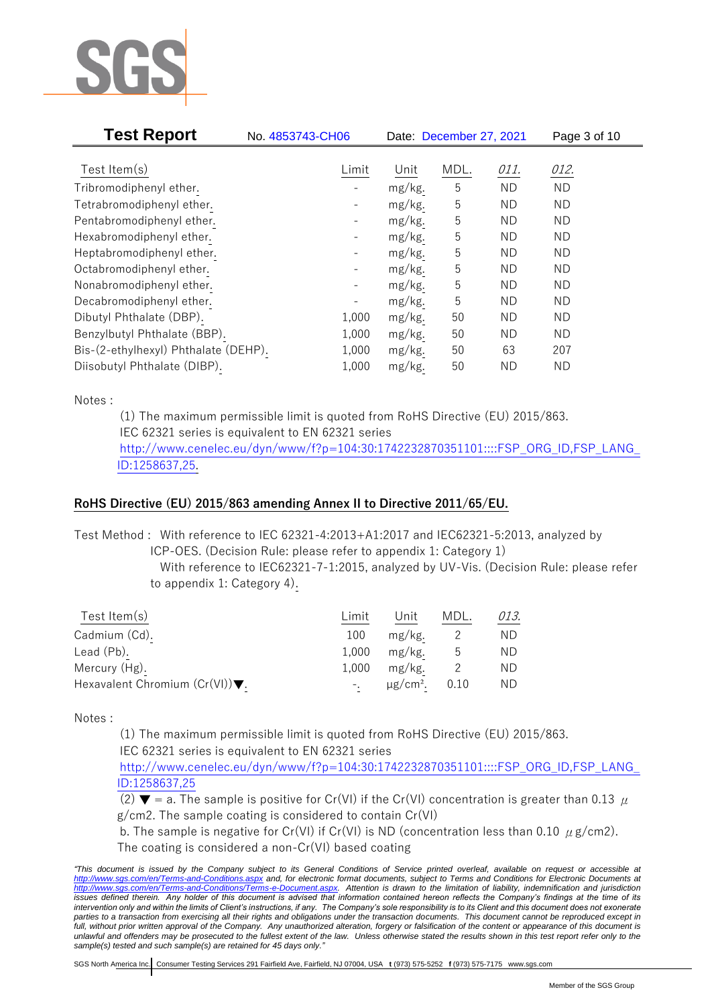

| <b>Test Report</b>                   | No. 4853743-CH06         |        | Date: December 27, 2021 |           | Page 3 of 10 |
|--------------------------------------|--------------------------|--------|-------------------------|-----------|--------------|
| Test Item $(s)$                      | Limit                    | Unit   | MDL.                    | 011.      | 012.         |
|                                      |                          |        |                         |           |              |
| Tribromodiphenyl ether.              |                          | mg/kg. | 5                       | <b>ND</b> | <b>ND</b>    |
| Tetrabromodiphenyl ether.            | $\overline{\phantom{0}}$ | mg/kg. | 5                       | ND.       | <b>ND</b>    |
| Pentabromodiphenyl ether.            |                          | mg/kg. | 5                       | ND.       | ND           |
| Hexabromodiphenyl ether.             |                          | mg/kg. | 5                       | ND.       | <b>ND</b>    |
| Heptabromodiphenyl ether.            |                          | mg/kg. | 5                       | ND.       | <b>ND</b>    |
| Octabromodiphenyl ether.             | $\qquad \qquad -$        | mg/kg. | 5                       | ND.       | <b>ND</b>    |
| Nonabromodiphenyl ether.             | -                        | mg/kg. | 5                       | ND.       | <b>ND</b>    |
| Decabromodiphenyl ether.             |                          | mg/kg. | 5                       | ND.       | ND           |
| Dibutyl Phthalate (DBP).             | 1,000                    | mg/kg. | 50                      | <b>ND</b> | <b>ND</b>    |
| Benzylbutyl Phthalate (BBP).         | 1,000                    | mg/kg. | 50                      | ND.       | ND           |
| Bis-(2-ethylhexyl) Phthalate (DEHP). | 1,000                    | mg/kg. | 50                      | 63        | 207          |
| Diisobutyl Phthalate (DIBP).         | 1,000                    | mg/kg. | 50                      | ND.       | ND           |

Notes :

(1) The maximum permissible limit is quoted from RoHS Directive (EU) 2015/863. IEC 62321 series is equivalent to EN 62321 series [http://www.cenelec.eu/dyn/www/f?p=104:30:1742232870351101::::FSP\\_ORG\\_ID,FSP\\_LANG\\_](http://www.cenelec.eu/dyn/www/f?p=104:30:1742232870351101::::FSP_ORG_ID,FSP_LANG_ID:1258637,25) [ID:1258637,25.](http://www.cenelec.eu/dyn/www/f?p=104:30:1742232870351101::::FSP_ORG_ID,FSP_LANG_ID:1258637,25)

# **RoHS Directive (EU) 2015/863 amending Annex II to Directive 2011/65/EU.**

Test Method : With reference to IEC 62321-4:2013+A1:2017 and IEC62321-5:2013, analyzed by ICP-OES. (Decision Rule: please refer to appendix 1: Category 1)

With reference to IEC62321-7-1:2015, analyzed by UV-Vis. (Decision Rule: please refer to appendix 1: Category 4).

| Test Item(s)                                       | Limit | Unit    | MDL. | 013. |
|----------------------------------------------------|-------|---------|------|------|
| Cadmium (Cd).                                      | 100   | mg/kg.  |      | ND.  |
| Lead (Pb).                                         | 1.000 | mg/kg.  | უ    | ND.  |
| Mercury (Hg).                                      | 1.000 | mg/kg.  |      | ND   |
| Hexavalent Chromium $(Cr(VI))\blacktriangledown$ . |       | µg/cm². | 0.10 | ND.  |

Notes :

(1) The maximum permissible limit is quoted from RoHS Directive (EU) 2015/863.

IEC 62321 series is equivalent to EN 62321 series

[http://www.cenelec.eu/dyn/www/f?p=104:30:1742232870351101::::FSP\\_ORG\\_ID,FSP\\_LANG\\_](http://www.cenelec.eu/dyn/www/f?p=104:30:1742232870351101::::FSP_ORG_ID,FSP_LANG_ID:1258637,25) [ID:1258637,25](http://www.cenelec.eu/dyn/www/f?p=104:30:1742232870351101::::FSP_ORG_ID,FSP_LANG_ID:1258637,25)

(2)  $\blacktriangledown$  = a. The sample is positive for Cr(VI) if the Cr(VI) concentration is greater than 0.13  $\mu$ g/cm2. The sample coating is considered to contain Cr(VI)

b. The sample is negative for Cr(VI) if Cr(VI) is ND (concentration less than 0.10  $\mu$  g/cm2).

The coating is considered a non-Cr(VI) based coating

*<sup>&</sup>quot;This document is issued by the Company subject to its General Conditions of Service printed overleaf, available on request or accessible at <http://www.sgs.com/en/Terms-and-Conditions.aspx> and, for electronic format documents, subject to Terms and Conditions for Electronic Documents at [http://www.sgs.com/en/Terms-and-Conditions/Terms-e-Document.aspx.](http://www.sgs.com/en/Terms-and-Conditions/Terms-e-Document.aspx) Attention is drawn to the limitation of liability, indemnification and jurisdiction*  issues defined therein. Any holder of this document is advised that information contained hereon reflects the Company's findings at the time of its *intervention only and within the limits of Client's instructions, if any. The Company's sole responsibility is to its Client and this document does not exonerate*  parties to a transaction from exercising all their rights and obligations under the transaction documents. This document cannot be reproduced except in *full, without prior written approval of the Company. Any unauthorized alteration, forgery or falsification of the content or appearance of this document is unlawful and offenders may be prosecuted to the fullest extent of the law. Unless otherwise stated the results shown in this test report refer only to the sample(s) tested and such sample(s) are retained for 45 days only."*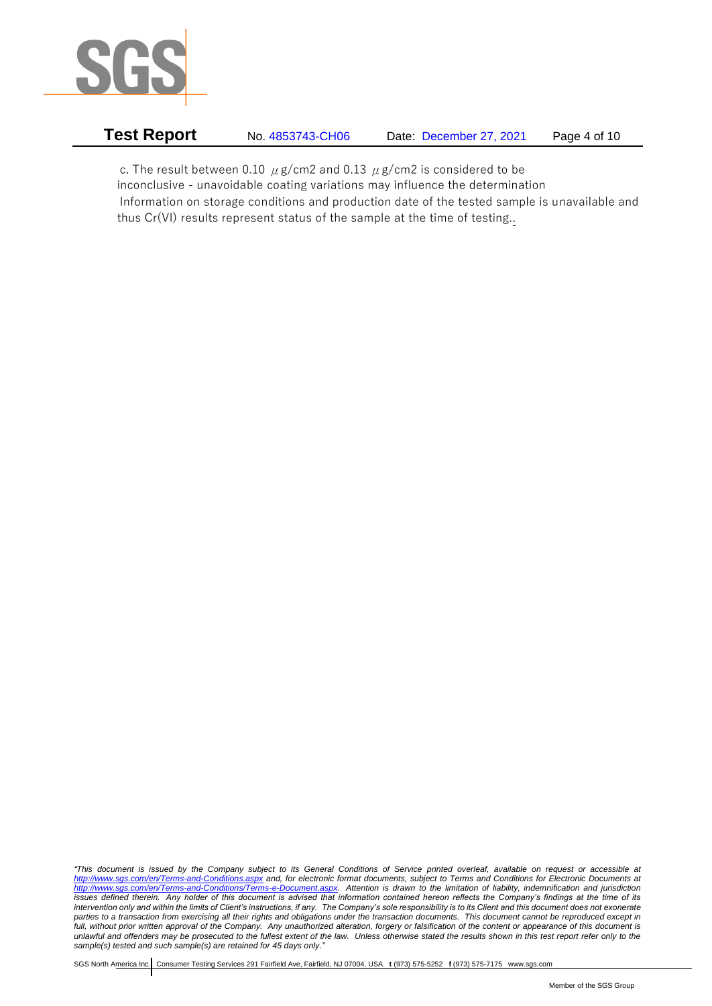

| Test Report | No. 4853743-CH06 | Date: December 27, 2021 | Page 4 of 10 |
|-------------|------------------|-------------------------|--------------|
|             |                  |                         |              |

c. The result between 0.10  $\mu$  g/cm2 and 0.13  $\mu$  g/cm2 is considered to be inconclusive - unavoidable coating variations may influence the determination Information on storage conditions and production date of the tested sample is unavailable and thus Cr(VI) results represent status of the sample at the time of testing..

*"This document is issued by the Company subject to its General Conditions of Service printed overleaf, available on request or accessible at <http://www.sgs.com/en/Terms-and-Conditions.aspx> and, for electronic format documents, subject to Terms and Conditions for Electronic Documents at [http://www.sgs.com/en/Terms-and-Conditions/Terms-e-Document.aspx.](http://www.sgs.com/en/Terms-and-Conditions/Terms-e-Document.aspx) Attention is drawn to the limitation of liability, indemnification and jurisdiction issues defined therein. Any holder of this document is advised that information contained hereon reflects the Company's findings at the time of its intervention only and within the limits of Client's instructions, if any. The Company's sole responsibility is to its Client and this document does not exonerate parties to a transaction from exercising all their rights and obligations under the transaction documents. This document cannot be reproduced except in full, without prior written approval of the Company. Any unauthorized alteration, forgery or falsification of the content or appearance of this document is unlawful and offenders may be prosecuted to the fullest extent of the law. Unless otherwise stated the results shown in this test report refer only to the sample(s) tested and such sample(s) are retained for 45 days only."*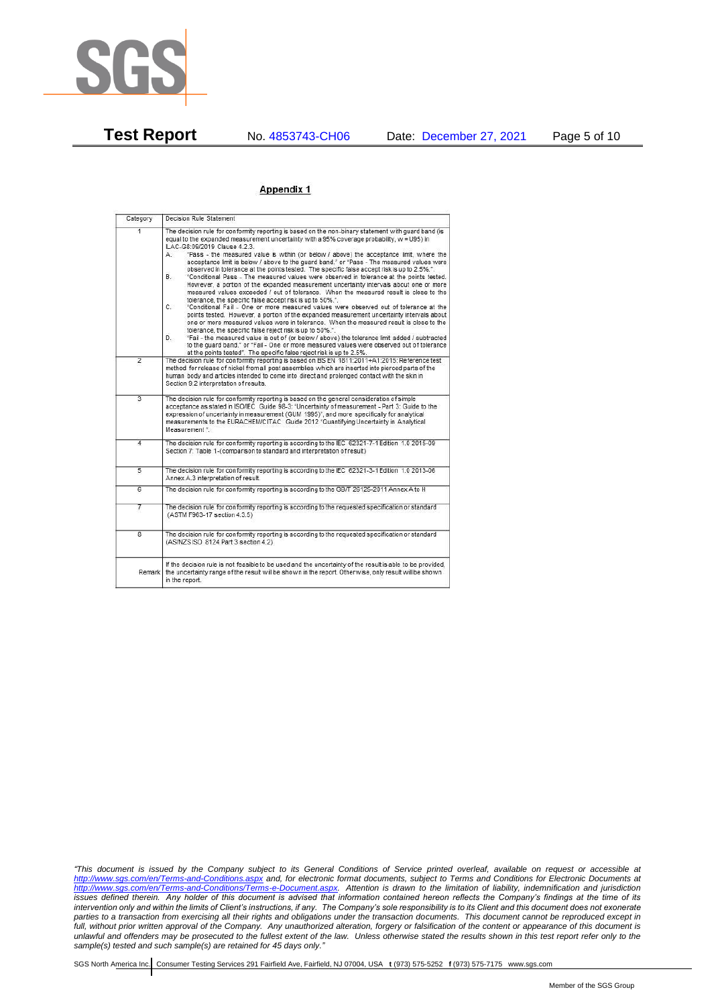

#### Appendix 1

| Category       | Decision Rule Statement                                                                                                                                                                                                                                                                                                                                                                                                                                                                                                                                                                                                                                                                                                                                                                                                                                                                                                                                                                                                                                                                                                                                                                                                                                                                                                                                                                                                                    |  |
|----------------|--------------------------------------------------------------------------------------------------------------------------------------------------------------------------------------------------------------------------------------------------------------------------------------------------------------------------------------------------------------------------------------------------------------------------------------------------------------------------------------------------------------------------------------------------------------------------------------------------------------------------------------------------------------------------------------------------------------------------------------------------------------------------------------------------------------------------------------------------------------------------------------------------------------------------------------------------------------------------------------------------------------------------------------------------------------------------------------------------------------------------------------------------------------------------------------------------------------------------------------------------------------------------------------------------------------------------------------------------------------------------------------------------------------------------------------------|--|
| $\overline{1}$ | The decision rule for conformity reporting is based on the non-binary statement with quard band (is<br>equal to the expanded measurement uncertainty with a 95% coverage probability, w = U95) in<br>ILAC-G8:09/2019 Clause 4.2.3.<br>"Pass - the measured value is within (or below / above) the acceptance limit, where the<br>А.<br>acceptance limit is below / above to the quard band." or "Pass - The measured values were<br>observed in tolerance at the points tested. The specific false accept risk is up to 2.5%.".<br>B.<br>"Conditional Pass - The measured values were observed in tolerance at the points tested.<br>However, a portion of the expanded measurement uncertainty intervals about one or more<br>measured values exceeded / out of tolerance. When the measured result is close to the<br>tolerance, the specific false accept risk is up to 50%.".<br>C.<br>"Conditional Fail - One or more measured values were observed out of tolerance at the<br>points tested. However, a portion of the expanded measurement uncertainty intervals about<br>one or more measured values were in tolerance. When the measured result is close to the<br>tolerance, the specific false reject risk is up to 50%.".<br>"Fail - the measured value is out of (or below / above) the tolerance limit added / subtracted<br>D.<br>to the guard band." or "Fail - One or more measured values were observed out of tolerance |  |
| $\overline{2}$ | at the points tested". The specific false reject risk is up to 2.5%.<br>The decision rule for conformity reporting is based on BS EN 1811:2011+A1:2015: Reference test<br>method for release of nickel from all post assemblies which are inserted into pierced parts of the<br>human body and articles intended to come into direct and prolonged contact with the skin in<br>Section 9.2 interpretation of results.                                                                                                                                                                                                                                                                                                                                                                                                                                                                                                                                                                                                                                                                                                                                                                                                                                                                                                                                                                                                                      |  |
| $\overline{3}$ | The decision rule for conformity reporting is based on the general consideration of simple<br>acceptance as stated in ISO/IEC Guide 98-3: "Uncertainty of measurement - Part 3: Guide to the<br>expression of uncertainty in measurement (GUM 1995)", and more specifically for analytical<br>measurements to the EURACHEM/CITAC Guide 2012 "Quantifying Uncertainty in Analytical<br>Measurement *                                                                                                                                                                                                                                                                                                                                                                                                                                                                                                                                                                                                                                                                                                                                                                                                                                                                                                                                                                                                                                        |  |
| 4              | The decision rule for conformity reporting is according to the IEC 62321-7-1 Edition 1.0 2015-09<br>Section 7: Table 1-(comparison to standard and interpretation of result)                                                                                                                                                                                                                                                                                                                                                                                                                                                                                                                                                                                                                                                                                                                                                                                                                                                                                                                                                                                                                                                                                                                                                                                                                                                               |  |
| $\overline{5}$ | The decision rule for conformity reporting is according to the IEC 62321-3-1 Edition 1.0 2013-06<br>Annex A.3 interpretation of result.                                                                                                                                                                                                                                                                                                                                                                                                                                                                                                                                                                                                                                                                                                                                                                                                                                                                                                                                                                                                                                                                                                                                                                                                                                                                                                    |  |
| 6              | The decision rule for conformity reporting is according to the GB/T 26125-2011 Annex A to H                                                                                                                                                                                                                                                                                                                                                                                                                                                                                                                                                                                                                                                                                                                                                                                                                                                                                                                                                                                                                                                                                                                                                                                                                                                                                                                                                |  |
| 7              | The decision rule for conformity reporting is according to the requested specification or standard<br>(ASTM F963-17 section 4.3.5)                                                                                                                                                                                                                                                                                                                                                                                                                                                                                                                                                                                                                                                                                                                                                                                                                                                                                                                                                                                                                                                                                                                                                                                                                                                                                                         |  |
| $\overline{8}$ | The decision rule for conformity reporting is according to the requested specification or standard<br>(AS/NZS ISO 8124 Part 3 section 4.2)                                                                                                                                                                                                                                                                                                                                                                                                                                                                                                                                                                                                                                                                                                                                                                                                                                                                                                                                                                                                                                                                                                                                                                                                                                                                                                 |  |
|                | If the decision rule is not feasible to be used and the uncertainty of the result is able to be provided,<br>Remark the uncertainty range of the result will be shown in the report. Otherwise, only result will be shown<br>in the report.                                                                                                                                                                                                                                                                                                                                                                                                                                                                                                                                                                                                                                                                                                                                                                                                                                                                                                                                                                                                                                                                                                                                                                                                |  |

*"This document is issued by the Company subject to its General Conditions of Service printed overleaf, available on request or accessible at <http://www.sgs.com/en/Terms-and-Conditions.aspx> and, for electronic format documents, subject to Terms and Conditions for Electronic Documents at [http://www.sgs.com/en/Terms-and-Conditions/Terms-e-Document.aspx.](http://www.sgs.com/en/Terms-and-Conditions/Terms-e-Document.aspx) Attention is drawn to the limitation of liability, indemnification and jurisdiction issues defined therein. Any holder of this document is advised that information contained hereon reflects the Company's findings at the time of its intervention only and within the limits of Client's instructions, if any. The Company's sole responsibility is to its Client and this document does not exonerate parties to a transaction from exercising all their rights and obligations under the transaction documents. This document cannot be reproduced except in full, without prior written approval of the Company. Any unauthorized alteration, forgery or falsification of the content or appearance of this document is unlawful and offenders may be prosecuted to the fullest extent of the law. Unless otherwise stated the results shown in this test report refer only to the sample(s) tested and such sample(s) are retained for 45 days only."*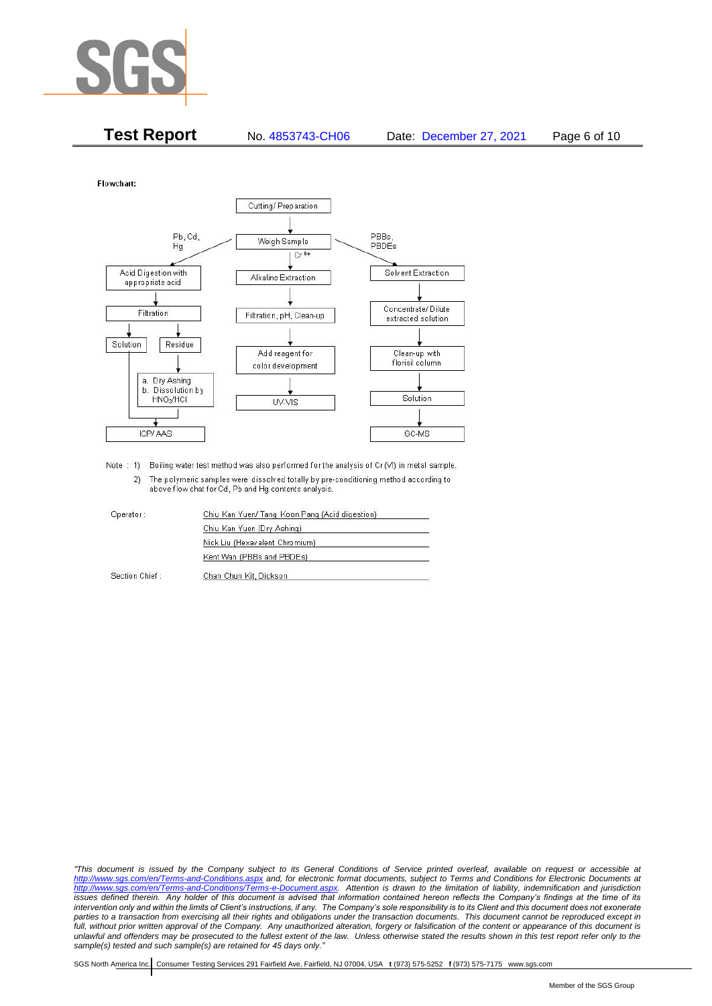

| <b>Test Report</b> | No. 4853743-CH06 | Date: December 27, 2021 | Page 6 of 10 |
|--------------------|------------------|-------------------------|--------------|
|                    |                  |                         |              |

Flowchart:



Note : 1) Boiling water test method was also performed for the analysis of Cr (VI) in metal sample. 2) The polymeric samples were dissolved totally by pre-conditioning method according to above flow chat for Cd, Pb and Hg contents analysis

| Operator:      | Chiu Kan Yuen/ Tang Koon Pang (Acid digestion) |  |
|----------------|------------------------------------------------|--|
|                | Chiu Kan Yuen (Dry Ashing)                     |  |
|                | Nick Liu (Hexavalent Chromium)                 |  |
|                | Kent Wan (PBBs and PBDEs)                      |  |
| Section Chief: | Chan Chun Kit, Dickson                         |  |

*"This document is issued by the Company subject to its General Conditions of Service printed overleaf, available on request or accessible at <http://www.sgs.com/en/Terms-and-Conditions.aspx> and, for electronic format documents, subject to Terms and Conditions for Electronic Documents at [http://www.sgs.com/en/Terms-and-Conditions/Terms-e-Document.aspx.](http://www.sgs.com/en/Terms-and-Conditions/Terms-e-Document.aspx) Attention is drawn to the limitation of liability, indemnification and jurisdiction issues defined therein. Any holder of this document is advised that information contained hereon reflects the Company's findings at the time of its intervention only and within the limits of Client's instructions, if any. The Company's sole responsibility is to its Client and this document does not exonerate*  parties to a transaction from exercising all their rights and obligations under the transaction documents. This document cannot be reproduced except in *full, without prior written approval of the Company. Any unauthorized alteration, forgery or falsification of the content or appearance of this document is unlawful and offenders may be prosecuted to the fullest extent of the law. Unless otherwise stated the results shown in this test report refer only to the sample(s) tested and such sample(s) are retained for 45 days only."*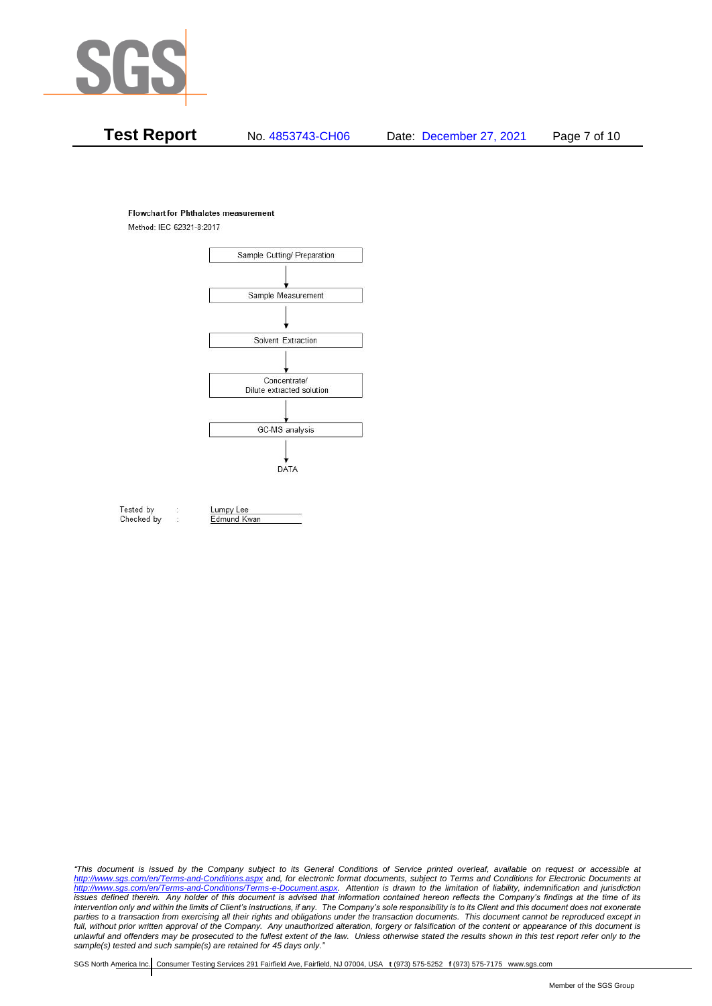

#### **Flowchart for Phthalates measurement**

Method: IEC 62321-8:2017



Tested by Checked by Lumpy Lee Edmund Kwan

*"This document is issued by the Company subject to its General Conditions of Service printed overleaf, available on request or accessible at <http://www.sgs.com/en/Terms-and-Conditions.aspx> and, for electronic format documents, subject to Terms and Conditions for Electronic Documents at [http://www.sgs.com/en/Terms-and-Conditions/Terms-e-Document.aspx.](http://www.sgs.com/en/Terms-and-Conditions/Terms-e-Document.aspx) Attention is drawn to the limitation of liability, indemnification and jurisdiction issues defined therein. Any holder of this document is advised that information contained hereon reflects the Company's findings at the time of its intervention only and within the limits of Client's instructions, if any. The Company's sole responsibility is to its Client and this document does not exonerate*  parties to a transaction from exercising all their rights and obligations under the transaction documents. This document cannot be reproduced except in *full, without prior written approval of the Company. Any unauthorized alteration, forgery or falsification of the content or appearance of this document is unlawful and offenders may be prosecuted to the fullest extent of the law. Unless otherwise stated the results shown in this test report refer only to the sample(s) tested and such sample(s) are retained for 45 days only."*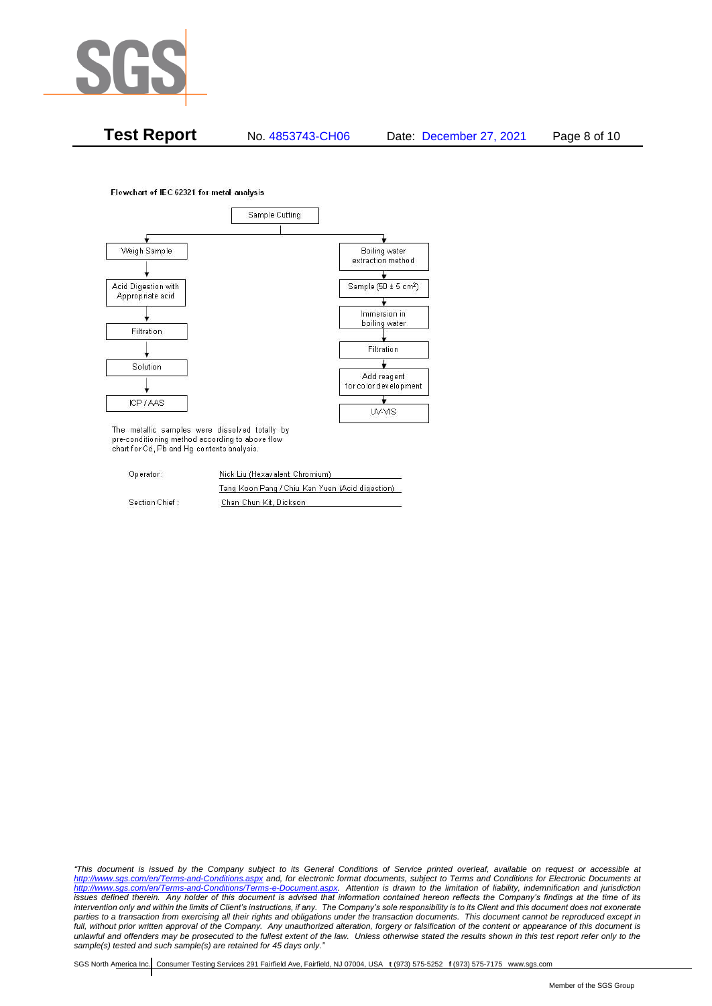

**Test Report** No. 4853743-CH06 Date: December 27, 2021 Page 8 of 10

Flowchart of IEC 62321 for metal analysis



The metallic samples were dissolved totally by pre-conditioning method according to above flow chart for Cd, Pb and Hg contents analysis.

| Operator:      | Nick Liu (Hexavalent Chromium)                  |  |
|----------------|-------------------------------------------------|--|
|                | Tang Koon Pang / Chiu Kan Yuen (Acid digestion) |  |
| Section Chief: | Chan Chun Kit, Dickson                          |  |

*"This document is issued by the Company subject to its General Conditions of Service printed overleaf, available on request or accessible at <http://www.sgs.com/en/Terms-and-Conditions.aspx> and, for electronic format documents, subject to Terms and Conditions for Electronic Documents at [http://www.sgs.com/en/Terms-and-Conditions/Terms-e-Document.aspx.](http://www.sgs.com/en/Terms-and-Conditions/Terms-e-Document.aspx) Attention is drawn to the limitation of liability, indemnification and jurisdiction issues defined therein. Any holder of this document is advised that information contained hereon reflects the Company's findings at the time of its intervention only and within the limits of Client's instructions, if any. The Company's sole responsibility is to its Client and this document does not exonerate*  parties to a transaction from exercising all their rights and obligations under the transaction documents. This document cannot be reproduced except in *full, without prior written approval of the Company. Any unauthorized alteration, forgery or falsification of the content or appearance of this document is unlawful and offenders may be prosecuted to the fullest extent of the law. Unless otherwise stated the results shown in this test report refer only to the sample(s) tested and such sample(s) are retained for 45 days only."*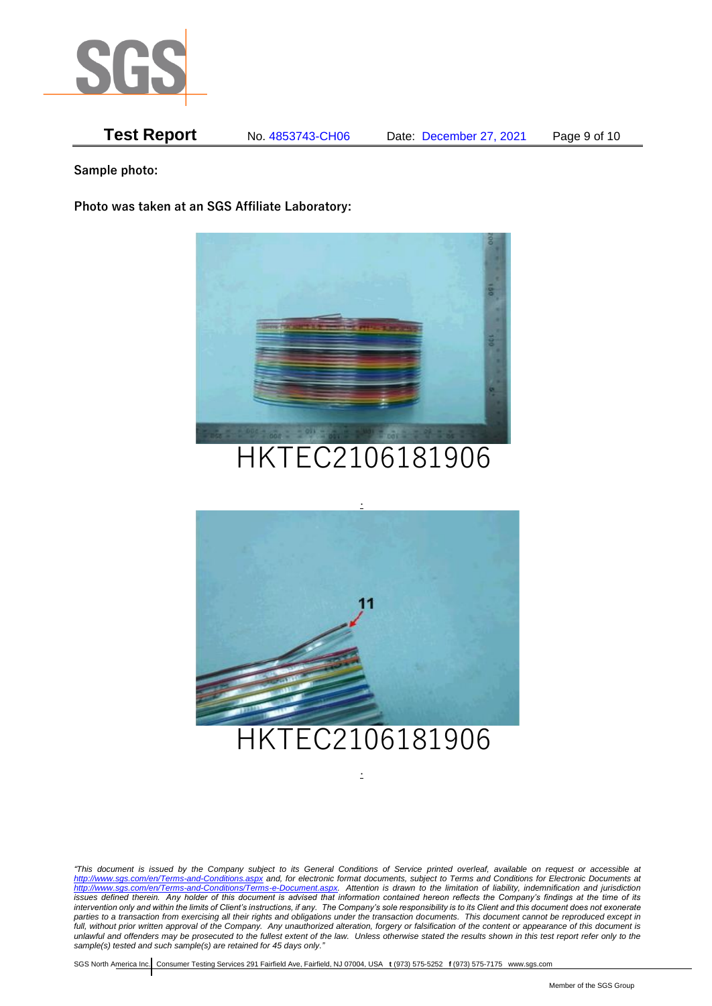

**Test Report** No. 4853743-CH06 Date: December 27, 2021 Page 9 of 10

**Sample photo:**

**Photo was taken at an SGS Affiliate Laboratory:**



# HKTEC2106181906



*"This document is issued by the Company subject to its General Conditions of Service printed overleaf, available on request or accessible at <http://www.sgs.com/en/Terms-and-Conditions.aspx> and, for electronic format documents, subject to Terms and Conditions for Electronic Documents at [http://www.sgs.com/en/Terms-and-Conditions/Terms-e-Document.aspx.](http://www.sgs.com/en/Terms-and-Conditions/Terms-e-Document.aspx) Attention is drawn to the limitation of liability, indemnification and jurisdiction issues defined therein. Any holder of this document is advised that information contained hereon reflects the Company's findings at the time of its intervention only and within the limits of Client's instructions, if any. The Company's sole responsibility is to its Client and this document does not exonerate parties to a transaction from exercising all their rights and obligations under the transaction documents. This document cannot be reproduced except in full, without prior written approval of the Company. Any unauthorized alteration, forgery or falsification of the content or appearance of this document is unlawful and offenders may be prosecuted to the fullest extent of the law. Unless otherwise stated the results shown in this test report refer only to the sample(s) tested and such sample(s) are retained for 45 days only."* 

.